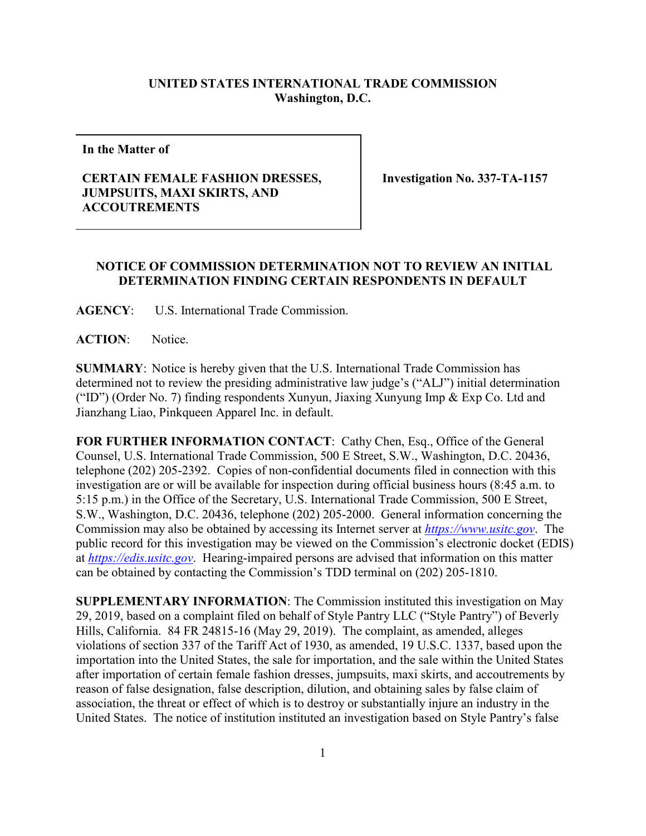## **UNITED STATES INTERNATIONAL TRADE COMMISSION Washington, D.C.**

**In the Matter of**

## **CERTAIN FEMALE FASHION DRESSES, JUMPSUITS, MAXI SKIRTS, AND ACCOUTREMENTS**

**Investigation No. 337-TA-1157**

## **NOTICE OF COMMISSION DETERMINATION NOT TO REVIEW AN INITIAL DETERMINATION FINDING CERTAIN RESPONDENTS IN DEFAULT**

**AGENCY**: U.S. International Trade Commission.

**ACTION**: Notice.

**SUMMARY**: Notice is hereby given that the U.S. International Trade Commission has determined not to review the presiding administrative law judge's ("ALJ") initial determination ("ID") (Order No. 7) finding respondents Xunyun, Jiaxing Xunyung Imp & Exp Co. Ltd and Jianzhang Liao, Pinkqueen Apparel Inc. in default.

FOR FURTHER INFORMATION CONTACT: Cathy Chen, Esq., Office of the General Counsel, U.S. International Trade Commission, 500 E Street, S.W., Washington, D.C. 20436, telephone (202) 205-2392. Copies of non-confidential documents filed in connection with this investigation are or will be available for inspection during official business hours (8:45 a.m. to 5:15 p.m.) in the Office of the Secretary, U.S. International Trade Commission, 500 E Street, S.W., Washington, D.C. 20436, telephone (202) 205-2000. General information concerning the Commission may also be obtained by accessing its Internet server at *[https://www.usitc.gov](https://www.usitc.gov/)*. The public record for this investigation may be viewed on the Commission's electronic docket (EDIS) at *[https://edis.usitc.gov](https://edis.usitc.gov/)*. Hearing-impaired persons are advised that information on this matter can be obtained by contacting the Commission's TDD terminal on (202) 205-1810.

**SUPPLEMENTARY INFORMATION**: The Commission instituted this investigation on May 29, 2019, based on a complaint filed on behalf of Style Pantry LLC ("Style Pantry") of Beverly Hills, California. 84 FR 24815-16 (May 29, 2019). The complaint, as amended, alleges violations of section 337 of the Tariff Act of 1930, as amended, 19 U.S.C. 1337, based upon the importation into the United States, the sale for importation, and the sale within the United States after importation of certain female fashion dresses, jumpsuits, maxi skirts, and accoutrements by reason of false designation, false description, dilution, and obtaining sales by false claim of association, the threat or effect of which is to destroy or substantially injure an industry in the United States. The notice of institution instituted an investigation based on Style Pantry's false